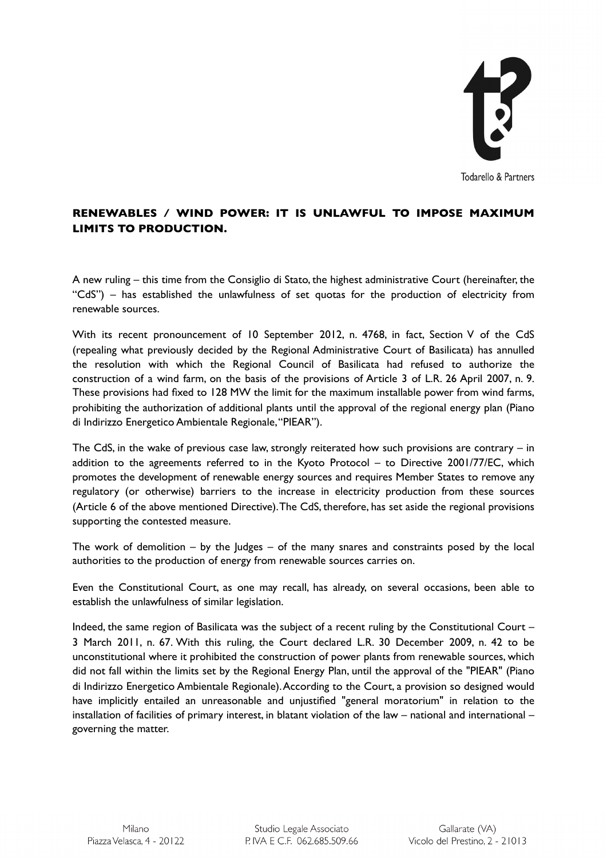

## **RENEWABLES / WIND POWER: IT IS UNLAWFUL TO IMPOSE MAXIMUM LIMITS TO PRODUCTION.**

A new ruling – this time from the Consiglio di Stato, the highest administrative Court (hereinafter, the "CdS") – has established the unlawfulness of set quotas for the production of electricity from renewable sources.

With its recent pronouncement of 10 September 2012, n. 4768, in fact, Section V of the CdS (repealing what previously decided by the Regional Administrative Court of Basilicata) has annulled the resolution with which the Regional Council of Basilicata had refused to authorize the construction of a wind farm, on the basis of the provisions of Article 3 of L.R. 26 April 2007, n. 9. These provisions had fixed to 128 MW the limit for the maximum installable power from wind farms, prohibiting the authorization of additional plants until the approval of the regional energy plan (Piano di Indirizzo Energetico Ambientale Regionale, "PIEAR").

The CdS, in the wake of previous case law, strongly reiterated how such provisions are contrary – in addition to the agreements referred to in the Kyoto Protocol – to Directive 2001/77/EC, which promotes the development of renewable energy sources and requires Member States to remove any regulatory (or otherwise) barriers to the increase in electricity production from these sources (Article 6 of the above mentioned Directive). The CdS, therefore, has set aside the regional provisions supporting the contested measure.

The work of demolition  $-$  by the Judges  $-$  of the many snares and constraints posed by the local authorities to the production of energy from renewable sources carries on.

Even the Constitutional Court, as one may recall, has already, on several occasions, been able to establish the unlawfulness of similar legislation.

Indeed, the same region of Basilicata was the subject of a recent ruling by the Constitutional Court – 3 March 2011, n. 67. With this ruling, the Court declared L.R. 30 December 2009, n. 42 to be unconstitutional where it prohibited the construction of power plants from renewable sources, which did not fall within the limits set by the Regional Energy Plan, until the approval of the "PIEAR" (Piano di Indirizzo Energetico Ambientale Regionale). According to the Court, a provision so designed would have implicitly entailed an unreasonable and unjustified "general moratorium" in relation to the installation of facilities of primary interest, in blatant violation of the law – national and international – governing the matter.